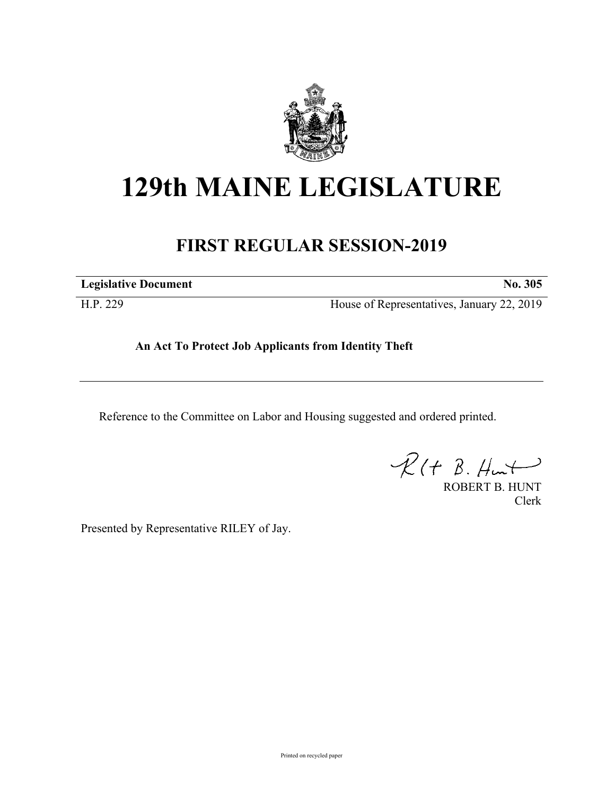

# **129th MAINE LEGISLATURE**

## **FIRST REGULAR SESSION-2019**

**Legislative Document No. 305**

H.P. 229 House of Representatives, January 22, 2019

**An Act To Protect Job Applicants from Identity Theft**

Reference to the Committee on Labor and Housing suggested and ordered printed.

 $\mathcal{R}(t \; \mathcal{B}, \mathcal{H}_{\mathsf{int}})$ 

ROBERT B. HUNT Clerk

Presented by Representative RILEY of Jay.